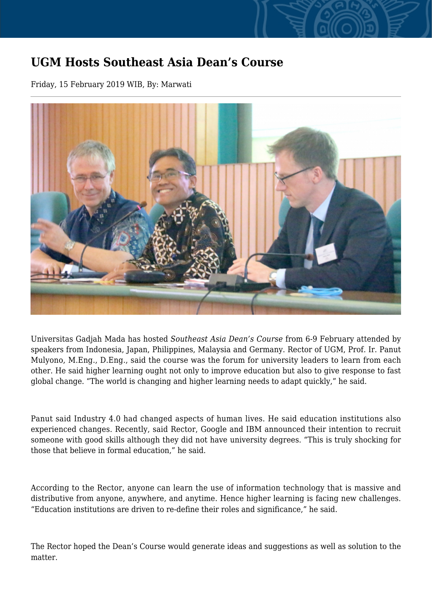## **UGM Hosts Southeast Asia Dean's Course**

Friday, 15 February 2019 WIB, By: Marwati



Universitas Gadjah Mada has hosted *Southeast Asia Dean's Course* from 6-9 February attended by speakers from Indonesia, Japan, Philippines, Malaysia and Germany. Rector of UGM, Prof. Ir. Panut Mulyono, M.Eng., D.Eng., said the course was the forum for university leaders to learn from each other. He said higher learning ought not only to improve education but also to give response to fast global change. "The world is changing and higher learning needs to adapt quickly," he said.

Panut said Industry 4.0 had changed aspects of human lives. He said education institutions also experienced changes. Recently, said Rector, Google and IBM announced their intention to recruit someone with good skills although they did not have university degrees. "This is truly shocking for those that believe in formal education," he said.

According to the Rector, anyone can learn the use of information technology that is massive and distributive from anyone, anywhere, and anytime. Hence higher learning is facing new challenges. "Education institutions are driven to re-define their roles and significance," he said.

The Rector hoped the Dean's Course would generate ideas and suggestions as well as solution to the matter.